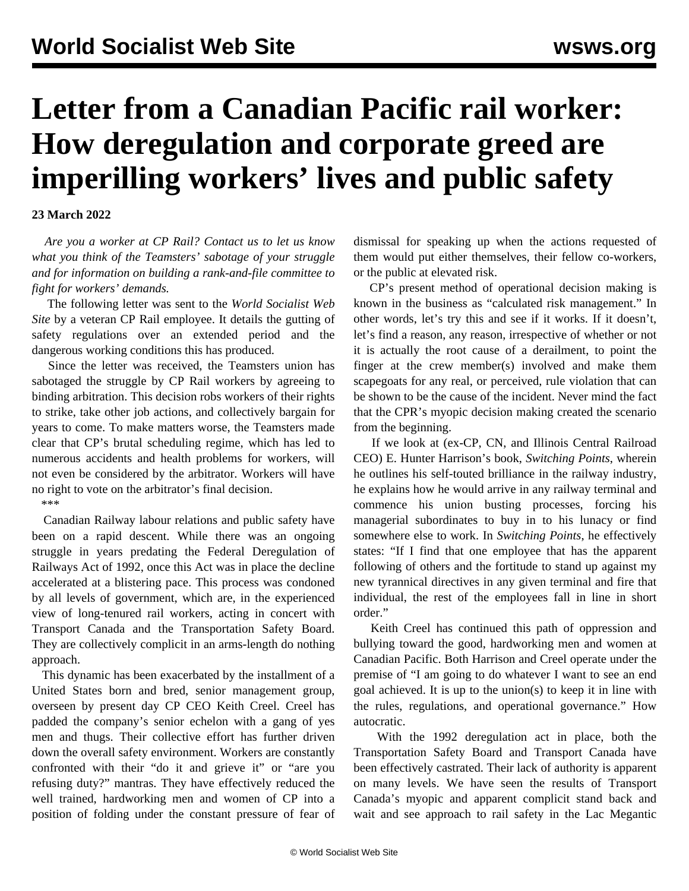## **Letter from a Canadian Pacific rail worker: How deregulation and corporate greed are imperilling workers' lives and public safety**

## **23 March 2022**

 *Are you a worker at CP Rail? [Contact us](/en/special/pages/contact.html) to let us know what you think of the Teamsters' sabotage of your struggle and for information on building a rank-and-file committee to fight for workers' demands.*

 The following letter was sent to the *World Socialist Web Site* by a veteran CP Rail employee. It details the gutting of safety regulations over an extended period and the dangerous working conditions this has produced.

 Since the letter was received, the Teamsters union has sabotaged the struggle by CP Rail workers by agreeing to binding arbitration. This decision robs workers of their rights to strike, take other job actions, and collectively bargain for years to come. To make matters worse, the Teamsters made clear that CP's brutal scheduling regime, which has led to numerous accidents and health problems for workers, will not even be considered by the arbitrator. Workers will have no right to vote on the arbitrator's final decision.

\*\*\*

 Canadian Railway labour relations and public safety have been on a rapid descent. While there was an ongoing struggle in years predating the Federal Deregulation of Railways Act of 1992, once this Act was in place the decline accelerated at a blistering pace. This process was condoned by all levels of government, which are, in the experienced view of long-tenured rail workers, acting in concert with Transport Canada and the Transportation Safety Board. They are collectively complicit in an arms-length do nothing approach.

 This dynamic has been exacerbated by the installment of a United States born and bred, senior management group, overseen by present day CP CEO Keith Creel. Creel has padded the company's senior echelon with a gang of yes men and thugs. Their collective effort has further driven down the overall safety environment. Workers are constantly confronted with their "do it and grieve it" or "are you refusing duty?" mantras. They have effectively reduced the well trained, hardworking men and women of CP into a position of folding under the constant pressure of fear of dismissal for speaking up when the actions requested of them would put either themselves, their fellow co-workers, or the public at elevated risk.

 CP's present method of operational decision making is known in the business as "calculated risk management." In other words, let's try this and see if it works. If it doesn't, let's find a reason, any reason, irrespective of whether or not it is actually the root cause of a derailment, to point the finger at the crew member(s) involved and make them scapegoats for any real, or perceived, rule violation that can be shown to be the cause of the incident. Never mind the fact that the CPR's myopic decision making created the scenario from the beginning.

 If we look at (ex-CP, CN, and Illinois Central Railroad CEO) E. Hunter Harrison's book, *Switching Points*, wherein he outlines his self-touted brilliance in the railway industry, he explains how he would arrive in any railway terminal and commence his union busting processes, forcing his managerial subordinates to buy in to his lunacy or find somewhere else to work. In *Switching Points*, he effectively states: "If I find that one employee that has the apparent following of others and the fortitude to stand up against my new tyrannical directives in any given terminal and fire that individual, the rest of the employees fall in line in short order<sup>"</sup>

 Keith Creel has continued this path of oppression and bullying toward the good, hardworking men and women at Canadian Pacific. Both Harrison and Creel operate under the premise of "I am going to do whatever I want to see an end goal achieved. It is up to the union(s) to keep it in line with the rules, regulations, and operational governance." How autocratic.

 With the 1992 deregulation act in place, both the Transportation Safety Board and Transport Canada have been effectively castrated. Their lack of authority is apparent on many levels. We have seen the results of Transport Canada's myopic and apparent complicit stand back and wait and see approach to rail safety in the Lac Megantic